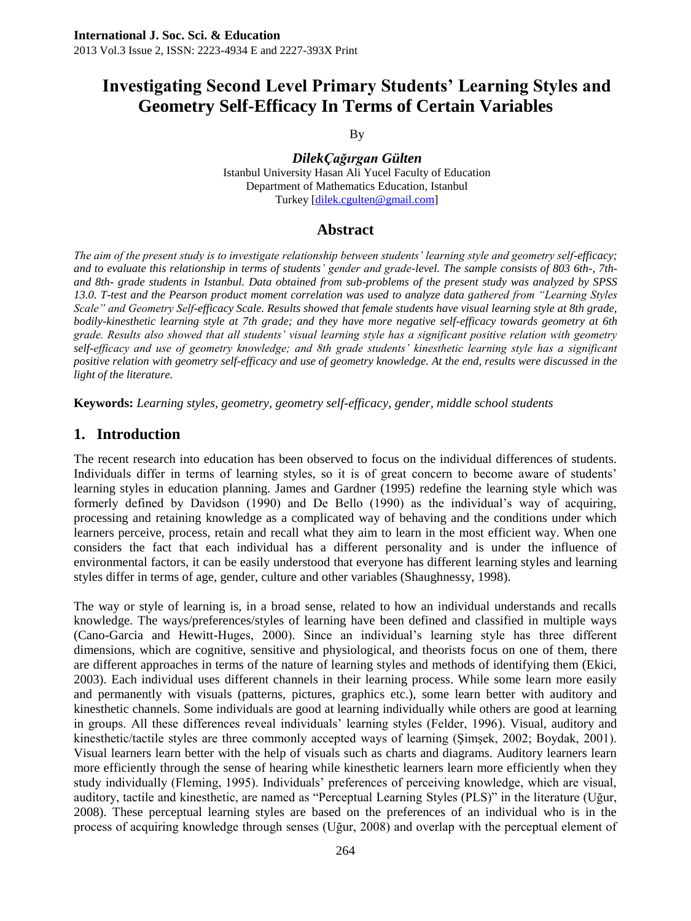# **Investigating Second Level Primary Students' Learning Styles and Geometry Self-Efficacy In Terms of Certain Variables**

By

*DilekÇağırgan Gülten* Istanbul University Hasan Ali Yucel Faculty of Education Department of Mathematics Education, Istanbul Turkey [\[dilek.cgulten@gmail.com\]](mailto:dilek.cgulten@gmail.com)

### **Abstract**

*The aim of the present study is to investigate relationship between students' learning style and geometry self-efficacy; and to evaluate this relationship in terms of students' gender and grade-level. The sample consists of 803 6th-, 7thand 8th- grade students in Istanbul. Data obtained from sub-problems of the present study was analyzed by SPSS 13.0. T-test and the Pearson product moment correlation was used to analyze data gathered from "Learning Styles Scale" and Geometry Self-efficacy Scale. Results showed that female students have visual learning style at 8th grade, bodily-kinesthetic learning style at 7th grade; and they have more negative self-efficacy towards geometry at 6th grade. Results also showed that all students' visual learning style has a significant positive relation with geometry self-efficacy and use of geometry knowledge; and 8th grade students' kinesthetic learning style has a significant positive relation with geometry self-efficacy and use of geometry knowledge. At the end, results were discussed in the light of the literature.* 

**Keywords:** *Learning styles, geometry, geometry self-efficacy, gender, middle school students*

### **1. Introduction**

The recent research into education has been observed to focus on the individual differences of students. Individuals differ in terms of learning styles, so it is of great concern to become aware of students" learning styles in education planning. James and Gardner (1995) redefine the learning style which was formerly defined by Davidson (1990) and De Bello (1990) as the individual's way of acquiring, processing and retaining knowledge as a complicated way of behaving and the conditions under which learners perceive, process, retain and recall what they aim to learn in the most efficient way. When one considers the fact that each individual has a different personality and is under the influence of environmental factors, it can be easily understood that everyone has different learning styles and learning styles differ in terms of age, gender, culture and other variables (Shaughnessy, 1998).

The way or style of learning is, in a broad sense, related to how an individual understands and recalls knowledge. The ways/preferences/styles of learning have been defined and classified in multiple ways (Cano-Garcia and Hewitt-Huges, 2000). Since an individual"s learning style has three different dimensions, which are cognitive, sensitive and physiological, and theorists focus on one of them, there are different approaches in terms of the nature of learning styles and methods of identifying them (Ekici, 2003). Each individual uses different channels in their learning process. While some learn more easily and permanently with visuals (patterns, pictures, graphics etc.), some learn better with auditory and kinesthetic channels. Some individuals are good at learning individually while others are good at learning in groups. All these differences reveal individuals" learning styles (Felder, 1996). Visual, auditory and kinesthetic/tactile styles are three commonly accepted ways of learning (Şimşek, 2002; Boydak, 2001). Visual learners learn better with the help of visuals such as charts and diagrams. Auditory learners learn more efficiently through the sense of hearing while kinesthetic learners learn more efficiently when they study individually (Fleming, 1995). Individuals" preferences of perceiving knowledge, which are visual, auditory, tactile and kinesthetic, are named as "Perceptual Learning Styles (PLS)" in the literature (Uğur, 2008). These perceptual learning styles are based on the preferences of an individual who is in the process of acquiring knowledge through senses (Uğur, 2008) and overlap with the perceptual element of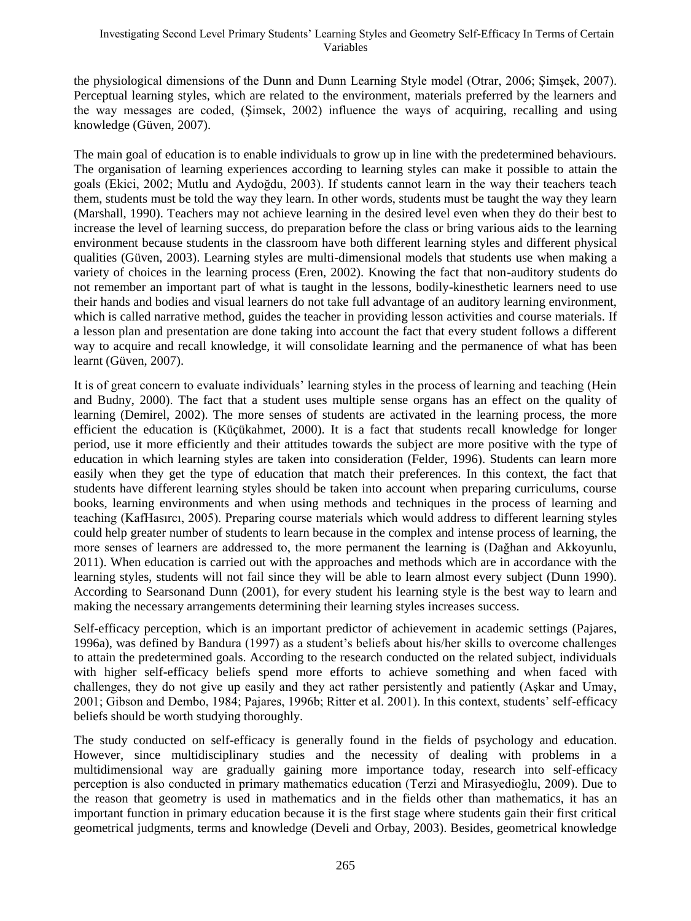the physiological dimensions of the Dunn and Dunn Learning Style model (Otrar, 2006; Şimşek, 2007). Perceptual learning styles, which are related to the environment, materials preferred by the learners and the way messages are coded, (Şimsek, 2002) influence the ways of acquiring, recalling and using knowledge (Güven, 2007).

The main goal of education is to enable individuals to grow up in line with the predetermined behaviours. The organisation of learning experiences according to learning styles can make it possible to attain the goals (Ekici, 2002; Mutlu and Aydoğdu, 2003). If students cannot learn in the way their teachers teach them, students must be told the way they learn. In other words, students must be taught the way they learn (Marshall, 1990). Teachers may not achieve learning in the desired level even when they do their best to increase the level of learning success, do preparation before the class or bring various aids to the learning environment because students in the classroom have both different learning styles and different physical qualities (Güven, 2003). Learning styles are multi-dimensional models that students use when making a variety of choices in the learning process (Eren, 2002). Knowing the fact that non-auditory students do not remember an important part of what is taught in the lessons, bodily-kinesthetic learners need to use their hands and bodies and visual learners do not take full advantage of an auditory learning environment, which is called narrative method, guides the teacher in providing lesson activities and course materials. If a lesson plan and presentation are done taking into account the fact that every student follows a different way to acquire and recall knowledge, it will consolidate learning and the permanence of what has been learnt (Güven, 2007).

It is of great concern to evaluate individuals" learning styles in the process of learning and teaching (Hein and Budny, 2000). The fact that a student uses multiple sense organs has an effect on the quality of learning (Demirel, 2002). The more senses of students are activated in the learning process, the more efficient the education is (Küçükahmet, 2000). It is a fact that students recall knowledge for longer period, use it more efficiently and their attitudes towards the subject are more positive with the type of education in which learning styles are taken into consideration (Felder, 1996). Students can learn more easily when they get the type of education that match their preferences. In this context, the fact that students have different learning styles should be taken into account when preparing curriculums, course books, learning environments and when using methods and techniques in the process of learning and teaching (KafHasırcı, 2005). Preparing course materials which would address to different learning styles could help greater number of students to learn because in the complex and intense process of learning, the more senses of learners are addressed to, the more permanent the learning is (Dağhan and Akkoyunlu, 2011). When education is carried out with the approaches and methods which are in accordance with the learning styles, students will not fail since they will be able to learn almost every subject (Dunn 1990). According to Searsonand Dunn (2001), for every student his learning style is the best way to learn and making the necessary arrangements determining their learning styles increases success.

Self-efficacy perception, which is an important predictor of achievement in academic settings (Pajares, 1996a), was defined by Bandura (1997) as a student"s beliefs about his/her skills to overcome challenges to attain the predetermined goals. According to the research conducted on the related subject, individuals with higher self-efficacy beliefs spend more efforts to achieve something and when faced with challenges, they do not give up easily and they act rather persistently and patiently (Aşkar and Umay, 2001; Gibson and Dembo, 1984; Pajares, 1996b; Ritter et al. 2001). In this context, students" self-efficacy beliefs should be worth studying thoroughly.

The study conducted on self-efficacy is generally found in the fields of psychology and education. However, since multidisciplinary studies and the necessity of dealing with problems in a multidimensional way are gradually gaining more importance today, research into self-efficacy perception is also conducted in primary mathematics education (Terzi and Mirasyedioğlu, 2009). Due to the reason that geometry is used in mathematics and in the fields other than mathematics, it has an important function in primary education because it is the first stage where students gain their first critical geometrical judgments, terms and knowledge (Develi and Orbay, 2003). Besides, geometrical knowledge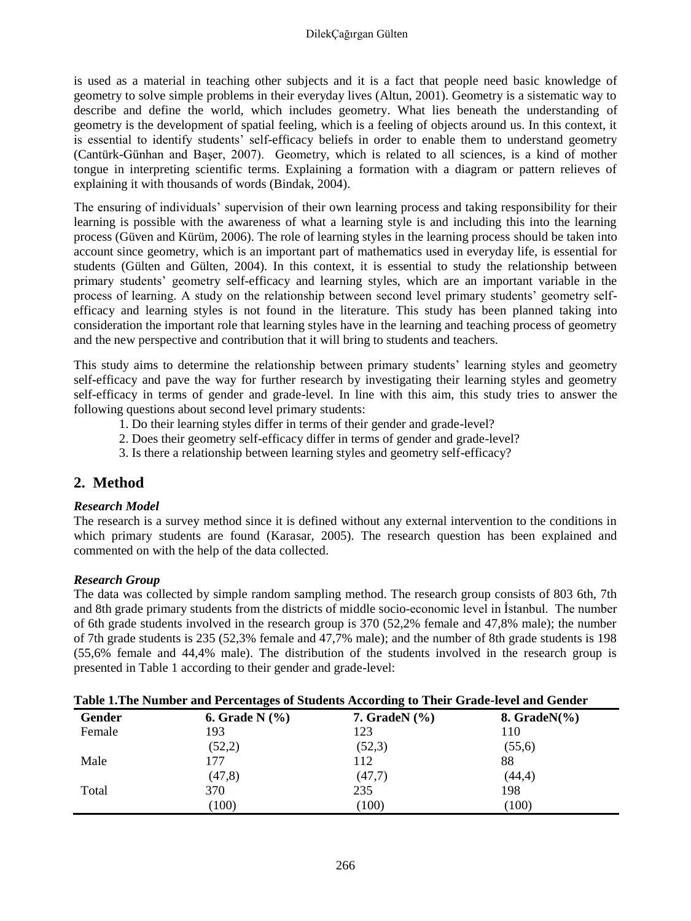is used as a material in teaching other subjects and it is a fact that people need basic knowledge of geometry to solve simple problems in their everyday lives (Altun, 2001). Geometry is a sistematic way to describe and define the world, which includes geometry. What lies beneath the understanding of geometry is the development of spatial feeling, which is a feeling of objects around us. In this context, it is essential to identify students" self-efficacy beliefs in order to enable them to understand geometry (Cantürk-Günhan and Başer, 2007). Geometry, which is related to all sciences, is a kind of mother tongue in interpreting scientific terms. Explaining a formation with a diagram or pattern relieves of explaining it with thousands of words (Bindak, 2004).

The ensuring of individuals" supervision of their own learning process and taking responsibility for their learning is possible with the awareness of what a learning style is and including this into the learning process (Güven and Kürüm, 2006). The role of learning styles in the learning process should be taken into account since geometry, which is an important part of mathematics used in everyday life, is essential for students (Gülten and Gülten, 2004). In this context, it is essential to study the relationship between primary students" geometry self-efficacy and learning styles, which are an important variable in the process of learning. A study on the relationship between second level primary students" geometry selfefficacy and learning styles is not found in the literature. This study has been planned taking into consideration the important role that learning styles have in the learning and teaching process of geometry and the new perspective and contribution that it will bring to students and teachers.

This study aims to determine the relationship between primary students" learning styles and geometry self-efficacy and pave the way for further research by investigating their learning styles and geometry self-efficacy in terms of gender and grade-level. In line with this aim, this study tries to answer the following questions about second level primary students:

- 1. Do their learning styles differ in terms of their gender and grade-level?
- 2. Does their geometry self-efficacy differ in terms of gender and grade-level?
- 3. Is there a relationship between learning styles and geometry self-efficacy?

# **2. Method**

### *Research Model*

The research is a survey method since it is defined without any external intervention to the conditions in which primary students are found (Karasar, 2005). The research question has been explained and commented on with the help of the data collected.

#### *Research Group*

The data was collected by simple random sampling method. The research group consists of 803 6th, 7th and 8th grade primary students from the districts of middle socio-economic level in İstanbul. The number of 6th grade students involved in the research group is 370 (52,2% female and 47,8% male); the number of 7th grade students is 235 (52,3% female and 47,7% male); and the number of 8th grade students is 198 (55,6% female and 44,4% male). The distribution of the students involved in the research group is presented in Table 1 according to their gender and grade-level:

| Table 1. The Number and Percentages of Students According to Their Grade-level and Gender |                   |                   |                  |  |  |  |  |  |  |
|-------------------------------------------------------------------------------------------|-------------------|-------------------|------------------|--|--|--|--|--|--|
| Gender                                                                                    | 6. Grade N $(% )$ | 7. GradeN $(\% )$ | 8. Grade $N(\%)$ |  |  |  |  |  |  |
| Female                                                                                    | 193               | 123               | 110              |  |  |  |  |  |  |
|                                                                                           | (52,2)            | (52,3)            | (55,6)           |  |  |  |  |  |  |
| Male                                                                                      | 177               | 112               | 88               |  |  |  |  |  |  |
|                                                                                           | (47,8)            | (47.7)            | (44,4)           |  |  |  |  |  |  |
| Total                                                                                     | 370               | 235               | 198              |  |  |  |  |  |  |
|                                                                                           | (100)             | (100)             | (100)            |  |  |  |  |  |  |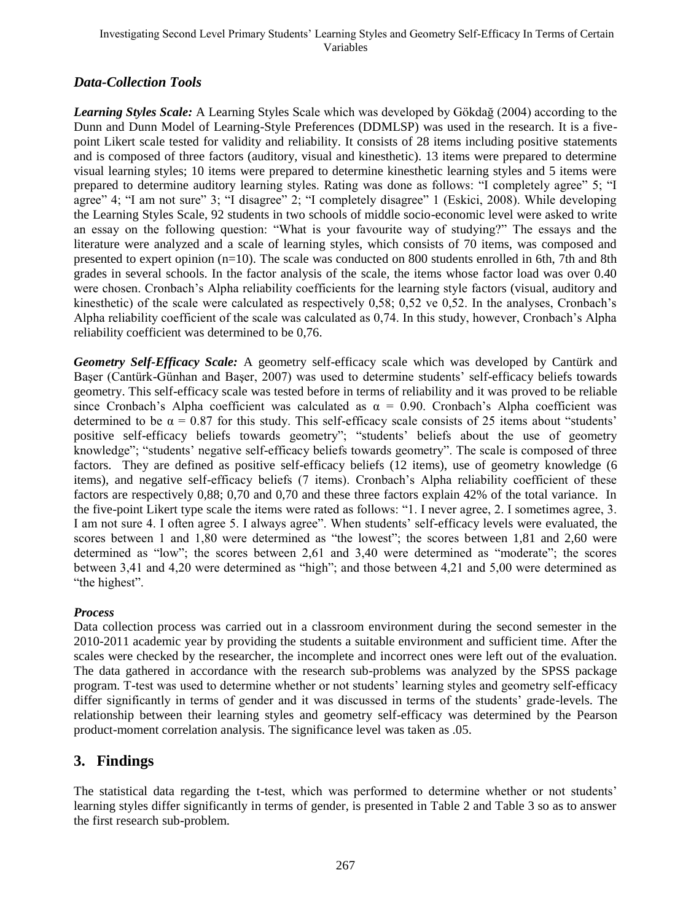#### Investigating Second Level Primary Students" Learning Styles and Geometry Self-Efficacy In Terms of Certain Variables

### *Data-Collection Tools*

*Learning Styles Scale:* A Learning Styles Scale which was developed by Gökdağ (2004) according to the Dunn and Dunn Model of Learning-Style Preferences (DDMLSP) was used in the research. It is a fivepoint Likert scale tested for validity and reliability. It consists of 28 items including positive statements and is composed of three factors (auditory, visual and kinesthetic). 13 items were prepared to determine visual learning styles; 10 items were prepared to determine kinesthetic learning styles and 5 items were prepared to determine auditory learning styles. Rating was done as follows: "I completely agree" 5; "I agree" 4; "I am not sure" 3; "I disagree" 2; "I completely disagree" 1 (Eskici, 2008). While developing the Learning Styles Scale, 92 students in two schools of middle socio-economic level were asked to write an essay on the following question: "What is your favourite way of studying?" The essays and the literature were analyzed and a scale of learning styles, which consists of 70 items, was composed and presented to expert opinion  $(n=10)$ . The scale was conducted on 800 students enrolled in 6th, 7th and 8th grades in several schools. In the factor analysis of the scale, the items whose factor load was over 0.40 were chosen. Cronbach's Alpha reliability coefficients for the learning style factors (visual, auditory and kinesthetic) of the scale were calculated as respectively 0,58; 0,52 ve 0,52. In the analyses, Cronbach"s Alpha reliability coefficient of the scale was calculated as 0,74. In this study, however, Cronbach"s Alpha reliability coefficient was determined to be 0,76.

*Geometry Self-Efficacy Scale:* A geometry self-efficacy scale which was developed by Cantürk and Baser (Cantürk-Günhan and Baser, 2007) was used to determine students' self-efficacy beliefs towards geometry. This self-efficacy scale was tested before in terms of reliability and it was proved to be reliable since Cronbach's Alpha coefficient was calculated as  $\alpha = 0.90$ . Cronbach's Alpha coefficient was determined to be  $\alpha = 0.87$  for this study. This self-efficacy scale consists of 25 items about "students" positive self-efficacy beliefs towards geometry"; "students' beliefs about the use of geometry knowledge"; "students' negative self-efficacy beliefs towards geometry". The scale is composed of three factors. They are defined as positive self-efficacy beliefs (12 items), use of geometry knowledge (6 items), and negative self-efficacy beliefs (7 items). Cronbach"s Alpha reliability coefficient of these factors are respectively 0,88; 0,70 and 0,70 and these three factors explain 42% of the total variance. In the five-point Likert type scale the items were rated as follows: "1. I never agree, 2. I sometimes agree, 3. I am not sure 4. I often agree 5. I always agree". When students" self-efficacy levels were evaluated, the scores between 1 and 1,80 were determined as "the lowest"; the scores between 1,81 and 2,60 were determined as "low"; the scores between 2,61 and 3,40 were determined as "moderate"; the scores between 3,41 and 4,20 were determined as "high"; and those between 4,21 and 5,00 were determined as "the highest".

### *Process*

Data collection process was carried out in a classroom environment during the second semester in the 2010-2011 academic year by providing the students a suitable environment and sufficient time. After the scales were checked by the researcher, the incomplete and incorrect ones were left out of the evaluation. The data gathered in accordance with the research sub-problems was analyzed by the SPSS package program. T-test was used to determine whether or not students' learning styles and geometry self-efficacy differ significantly in terms of gender and it was discussed in terms of the students' grade-levels. The relationship between their learning styles and geometry self-efficacy was determined by the Pearson product-moment correlation analysis. The significance level was taken as .05.

### **3. Findings**

The statistical data regarding the t-test, which was performed to determine whether or not students' learning styles differ significantly in terms of gender, is presented in Table 2 and Table 3 so as to answer the first research sub-problem.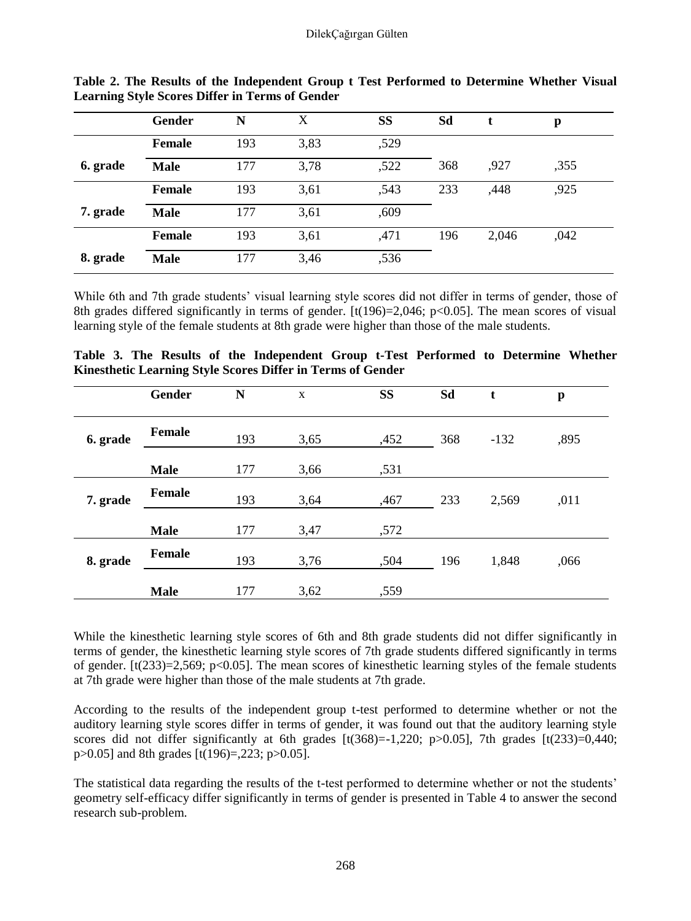|          | Gender        | N   | X    | SS   | Sd  |       | p    |
|----------|---------------|-----|------|------|-----|-------|------|
|          | <b>Female</b> | 193 | 3,83 | ,529 |     |       |      |
| 6. grade | <b>Male</b>   | 177 | 3,78 | ,522 | 368 | ,927  | ,355 |
|          | <b>Female</b> | 193 | 3,61 | ,543 | 233 | ,448  | ,925 |
| 7. grade | <b>Male</b>   | 177 | 3,61 | ,609 |     |       |      |
|          | <b>Female</b> | 193 | 3,61 | ,471 | 196 | 2,046 | ,042 |
| 8. grade | <b>Male</b>   | 177 | 3,46 | ,536 |     |       |      |

**Table 2. The Results of the Independent Group t Test Performed to Determine Whether Visual Learning Style Scores Differ in Terms of Gender**

While 6th and 7th grade students' visual learning style scores did not differ in terms of gender, those of 8th grades differed significantly in terms of gender.  $[t(196)=2,046; p<0.05]$ . The mean scores of visual learning style of the female students at 8th grade were higher than those of the male students.

|  |  |  | Table 3. The Results of the Independent Group t-Test Performed to Determine Whether |  |  |  |
|--|--|--|-------------------------------------------------------------------------------------|--|--|--|
|  |  |  | <b>Kinesthetic Learning Style Scores Differ in Terms of Gender</b>                  |  |  |  |

|          | Gender        | N   | X    | SS   | Sd  | t      | p    |
|----------|---------------|-----|------|------|-----|--------|------|
| 6. grade | Female        | 193 | 3,65 | ,452 | 368 | $-132$ | ,895 |
|          | <b>Male</b>   | 177 | 3,66 | ,531 |     |        |      |
| 7. grade | Female        | 193 | 3,64 | ,467 | 233 | 2,569  | ,011 |
|          | <b>Male</b>   | 177 | 3,47 | ,572 |     |        |      |
| 8. grade | <b>Female</b> | 193 | 3,76 | ,504 | 196 | 1,848  | ,066 |
|          | <b>Male</b>   | 177 | 3,62 | ,559 |     |        |      |

While the kinesthetic learning style scores of 6th and 8th grade students did not differ significantly in terms of gender, the kinesthetic learning style scores of 7th grade students differed significantly in terms of gender.  $[t(233)=2,569; p<0.05]$ . The mean scores of kinesthetic learning styles of the female students at 7th grade were higher than those of the male students at 7th grade.

According to the results of the independent group t-test performed to determine whether or not the auditory learning style scores differ in terms of gender, it was found out that the auditory learning style scores did not differ significantly at 6th grades  $[t(368)=1,220; p>0.05]$ , 7th grades  $[t(233)=0,440;$ p>0.05] and 8th grades [t(196)=,223; p>0.05].

The statistical data regarding the results of the t-test performed to determine whether or not the students' geometry self-efficacy differ significantly in terms of gender is presented in Table 4 to answer the second research sub-problem.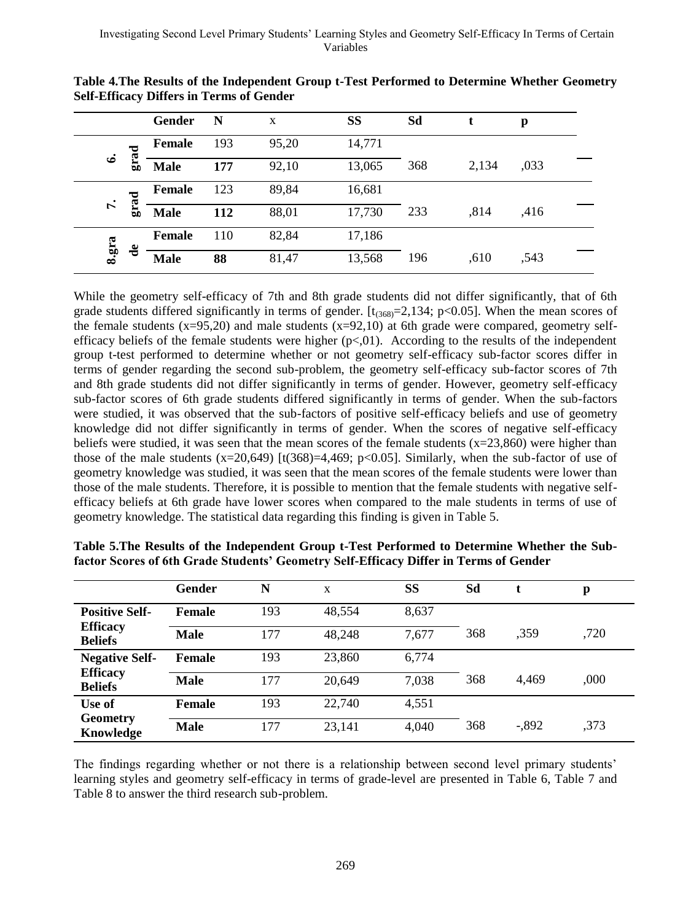|       |                     | Gender        | N   | X     | SS     | Sd  |       | p    |  |
|-------|---------------------|---------------|-----|-------|--------|-----|-------|------|--|
|       | ≂<br>Ġ.             | <b>Female</b> | 193 | 95,20 | 14,771 |     |       |      |  |
| ف     | 品                   | <b>Male</b>   | 177 | 92,10 | 13,065 | 368 | 2,134 | ,033 |  |
|       | ្តក្                | <b>Female</b> | 123 | 89,84 | 16,681 |     |       |      |  |
| r.    | ដ្                  | <b>Male</b>   | 112 | 88,01 | 17,730 | 233 | .814  | .416 |  |
|       |                     | <b>Female</b> | 110 | 82,84 | 17,186 |     |       |      |  |
| 8.gra | $\ddot{\textbf{d}}$ | <b>Male</b>   | 88  | 81,47 | 13,568 | 196 | .610  | .543 |  |

**Table 4.The Results of the Independent Group t-Test Performed to Determine Whether Geometry Self-Efficacy Differs in Terms of Gender**

While the geometry self-efficacy of 7th and 8th grade students did not differ significantly, that of 6th grade students differed significantly in terms of gender.  $[t_{(368)}=2,134; p<0.05]$ . When the mean scores of the female students  $(x=95,20)$  and male students  $(x=92,10)$  at 6th grade were compared, geometry selfefficacy beliefs of the female students were higher  $(p<0.01)$ . According to the results of the independent group t-test performed to determine whether or not geometry self-efficacy sub-factor scores differ in terms of gender regarding the second sub-problem, the geometry self-efficacy sub-factor scores of 7th and 8th grade students did not differ significantly in terms of gender. However, geometry self-efficacy sub-factor scores of 6th grade students differed significantly in terms of gender. When the sub-factors were studied, it was observed that the sub-factors of positive self-efficacy beliefs and use of geometry knowledge did not differ significantly in terms of gender. When the scores of negative self-efficacy beliefs were studied, it was seen that the mean scores of the female students  $(x=23,860)$  were higher than those of the male students  $(x=20,649)$  [t $(368)=4,469$ ; p<0.05]. Similarly, when the sub-factor of use of geometry knowledge was studied, it was seen that the mean scores of the female students were lower than those of the male students. Therefore, it is possible to mention that the female students with negative selfefficacy beliefs at 6th grade have lower scores when compared to the male students in terms of use of geometry knowledge. The statistical data regarding this finding is given in Table 5.

|                                   | Gender        | N   | X      | SS    | Sd  |         | p    |
|-----------------------------------|---------------|-----|--------|-------|-----|---------|------|
| <b>Positive Self-</b>             | <b>Female</b> | 193 | 48.554 | 8,637 |     |         |      |
| <b>Efficacy</b><br><b>Beliefs</b> | <b>Male</b>   | 177 | 48,248 | 7,677 | 368 | .359    | ,720 |
| <b>Negative Self-</b>             | <b>Female</b> | 193 | 23,860 | 6,774 |     |         |      |
| <b>Efficacy</b><br><b>Beliefs</b> | <b>Male</b>   | 177 | 20.649 | 7,038 | 368 | 4.469   | ,000 |
| Use of                            | <b>Female</b> | 193 | 22,740 | 4,551 |     |         |      |
| Geometry<br>Knowledge             | <b>Male</b>   | 177 | 23,141 | 4,040 | 368 | $-.892$ | ,373 |

**Table 5.The Results of the Independent Group t-Test Performed to Determine Whether the Subfactor Scores of 6th Grade Students' Geometry Self-Efficacy Differ in Terms of Gender** 

The findings regarding whether or not there is a relationship between second level primary students" learning styles and geometry self-efficacy in terms of grade-level are presented in Table 6, Table 7 and Table 8 to answer the third research sub-problem.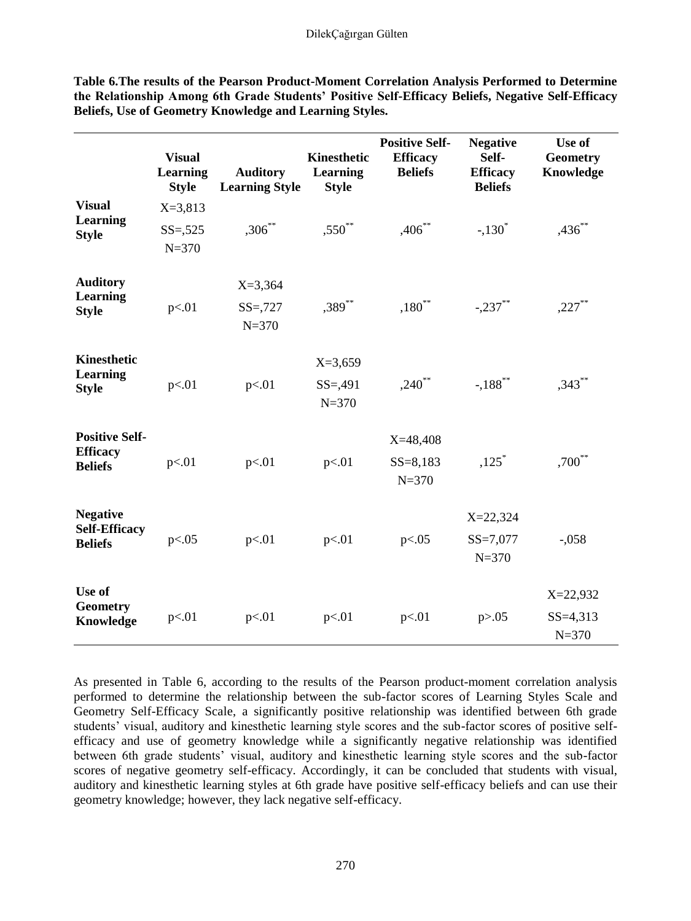|                                                            | <b>Visual</b><br><b>Learning</b><br><b>Style</b> | <b>Auditory</b><br><b>Learning Style</b> | <b>Kinesthetic</b><br>Learning<br><b>Style</b> | <b>Positive Self-</b><br><b>Efficacy</b><br><b>Beliefs</b> | <b>Negative</b><br>Self-<br><b>Efficacy</b><br><b>Beliefs</b> | Use of<br><b>Geometry</b><br>Knowledge    |
|------------------------------------------------------------|--------------------------------------------------|------------------------------------------|------------------------------------------------|------------------------------------------------------------|---------------------------------------------------------------|-------------------------------------------|
| <b>Visual</b><br>Learning<br><b>Style</b>                  | $X = 3,813$<br>$SS = 525$<br>$N = 370$           | $,306***$                                | $,550***$                                      | $,406$ **                                                  | $-.130*$                                                      | $,436***$                                 |
| <b>Auditory</b><br>Learning<br><b>Style</b>                | p<.01                                            | $X = 3,364$<br>$SS = 727$<br>$N = 370$   | $,389***$                                      | $,180^{**}$                                                | $-.237***$                                                    | $,227***$                                 |
| Kinesthetic<br>Learning<br><b>Style</b>                    | p<.01                                            | p<.01                                    | $X=3,659$<br>$SS = 0.491$<br>$N = 370$         | $,240$ **                                                  | $-188$ <sup>**</sup>                                          | $,343***$                                 |
| <b>Positive Self-</b><br><b>Efficacy</b><br><b>Beliefs</b> | p<.01                                            | p<.01                                    | p<.01                                          | $X=48,408$<br>$SS = 8,183$<br>$N = 370$                    | $,125$ <sup>*</sup>                                           | $,700^{**}$                               |
| <b>Negative</b><br><b>Self-Efficacy</b><br><b>Beliefs</b>  | p<.05                                            | p<.01                                    | p<.01                                          | p<.05                                                      | $X = 22,324$<br>$SS = 7,077$<br>$N = 370$                     | $-.058$                                   |
| Use of<br><b>Geometry</b><br>Knowledge                     | p<.01                                            | p<.01                                    | p<.01                                          | p<.01                                                      | p > 0.05                                                      | $X = 22,932$<br>$SS = 4,313$<br>$N = 370$ |

**Table 6.The results of the Pearson Product-Moment Correlation Analysis Performed to Determine the Relationship Among 6th Grade Students' Positive Self-Efficacy Beliefs, Negative Self-Efficacy Beliefs, Use of Geometry Knowledge and Learning Styles.** 

As presented in Table 6, according to the results of the Pearson product-moment correlation analysis performed to determine the relationship between the sub-factor scores of Learning Styles Scale and Geometry Self-Efficacy Scale, a significantly positive relationship was identified between 6th grade students' visual, auditory and kinesthetic learning style scores and the sub-factor scores of positive selfefficacy and use of geometry knowledge while a significantly negative relationship was identified between 6th grade students" visual, auditory and kinesthetic learning style scores and the sub-factor scores of negative geometry self-efficacy. Accordingly, it can be concluded that students with visual, auditory and kinesthetic learning styles at 6th grade have positive self-efficacy beliefs and can use their geometry knowledge; however, they lack negative self-efficacy.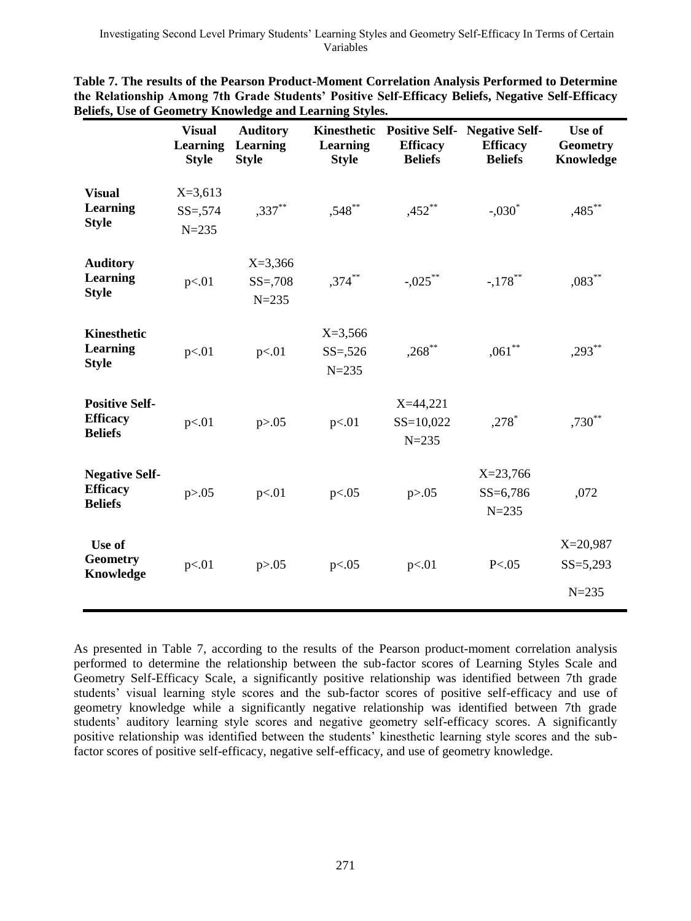|                                                            | <b>Visual</b><br>Learning<br><b>Style</b> | <b>Auditory</b><br>Learning<br><b>Style</b> | Kinesthetic<br>Learning<br><b>Style</b> | <b>Positive Self-</b><br><b>Efficacy</b><br><b>Beliefs</b> | <b>Negative Self-</b><br><b>Efficacy</b><br><b>Beliefs</b> | Use of<br><b>Geometry</b><br>Knowledge  |
|------------------------------------------------------------|-------------------------------------------|---------------------------------------------|-----------------------------------------|------------------------------------------------------------|------------------------------------------------------------|-----------------------------------------|
| <b>Visual</b><br><b>Learning</b><br><b>Style</b>           | $X=3,613$<br>$SS = 574$<br>$N = 235$      | $,337***$                                   | $,548$ **                               | $,452$ **                                                  | $-.030*$                                                   | $,485***$                               |
| <b>Auditory</b><br><b>Learning</b><br><b>Style</b>         | p<.01                                     | $X = 3,366$<br>$SS = 708$<br>$N = 235$      | $,374$ **                               | $-.025$ **                                                 | $-.178$ <sup>**</sup>                                      | $,083$ **                               |
| Kinesthetic<br>Learning<br><b>Style</b>                    | p<.01                                     | p<.01                                       | $X=3,566$<br>$SS = 526$<br>$N = 235$    | $,268$ **                                                  | $,061***$                                                  | $,293***$                               |
| <b>Positive Self-</b><br><b>Efficacy</b><br><b>Beliefs</b> | p<.01                                     | p > 0.05                                    | p<.01                                   | $X=44,221$<br>$SS=10,022$<br>$N = 235$                     | $,278$ <sup>*</sup>                                        | $,730***$                               |
| <b>Negative Self-</b><br><b>Efficacy</b><br><b>Beliefs</b> | p > 0.05                                  | p<.01                                       | p<.05                                   | p > 0.05                                                   | $X = 23,766$<br>$SS = 6,786$<br>$N = 235$                  | .072                                    |
| Use of<br><b>Geometry</b><br>Knowledge                     | p<.01                                     | p > 0.05                                    | p<.05                                   | p<.01                                                      | P < .05                                                    | $X=20,987$<br>$SS = 5,293$<br>$N = 235$ |

**Table 7. The results of the Pearson Product-Moment Correlation Analysis Performed to Determine the Relationship Among 7th Grade Students' Positive Self-Efficacy Beliefs, Negative Self-Efficacy Beliefs, Use of Geometry Knowledge and Learning Styles.**

As presented in Table 7, according to the results of the Pearson product-moment correlation analysis performed to determine the relationship between the sub-factor scores of Learning Styles Scale and Geometry Self-Efficacy Scale, a significantly positive relationship was identified between 7th grade students' visual learning style scores and the sub-factor scores of positive self-efficacy and use of geometry knowledge while a significantly negative relationship was identified between 7th grade students' auditory learning style scores and negative geometry self-efficacy scores. A significantly positive relationship was identified between the students" kinesthetic learning style scores and the subfactor scores of positive self-efficacy, negative self-efficacy, and use of geometry knowledge.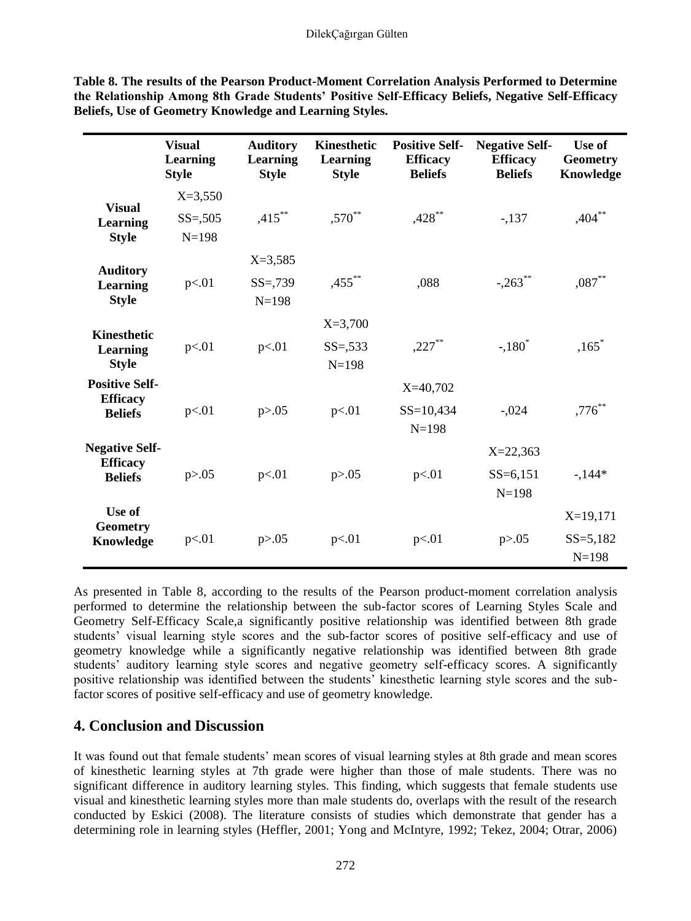|                                                | <b>Visual</b><br><b>Learning</b><br><b>Style</b> | <b>Auditory</b><br>Learning<br><b>Style</b> | Kinesthetic<br><b>Learning</b><br><b>Style</b> | <b>Positive Self-</b><br><b>Efficacy</b><br><b>Beliefs</b> | <b>Negative Self-</b><br><b>Efficacy</b><br><b>Beliefs</b> | Use of<br><b>Geometry</b><br>Knowledge |
|------------------------------------------------|--------------------------------------------------|---------------------------------------------|------------------------------------------------|------------------------------------------------------------|------------------------------------------------------------|----------------------------------------|
| <b>Visual</b>                                  | $X=3,550$                                        |                                             |                                                |                                                            |                                                            |                                        |
| Learning                                       | $SS = 0.505$                                     | $,415***$                                   | ,570**                                         | $,428$ **                                                  | $-137$                                                     | $,404***$                              |
| <b>Style</b>                                   | $N = 198$                                        |                                             |                                                |                                                            |                                                            |                                        |
| <b>Auditory</b>                                |                                                  | $X = 3,585$                                 |                                                |                                                            |                                                            |                                        |
| Learning<br><b>Style</b>                       | p<.01                                            | $SS = 739$<br>$N=198$                       | $,455$ **                                      | .088                                                       | $-.263$ **                                                 | $,087$ **                              |
|                                                |                                                  |                                             | $X=3,700$                                      |                                                            |                                                            |                                        |
| <b>Kinesthetic</b><br>Learning<br><b>Style</b> | p<.01                                            | p<.01                                       | $SS = 533$<br>$N = 198$                        | $,227***$                                                  | $-.180^*$                                                  | $,165*$                                |
| <b>Positive Self-</b>                          |                                                  |                                             |                                                | $X=40,702$                                                 |                                                            |                                        |
| <b>Efficacy</b><br><b>Beliefs</b>              | p<.01                                            | p > 0.05                                    | p<.01                                          | $SS = 10,434$<br>$N = 198$                                 | $-.024$                                                    | $,776$ **                              |
| <b>Negative Self-</b>                          |                                                  |                                             |                                                |                                                            | $X = 22,363$                                               |                                        |
| <b>Efficacy</b><br><b>Beliefs</b>              | p > 0.05                                         | p<.01                                       | p > 0.05                                       | p<.01                                                      | $SS = 6,151$<br>$N = 198$                                  | $-144*$                                |
| Use of                                         |                                                  |                                             |                                                |                                                            |                                                            | $X=19,171$                             |
| <b>Geometry</b><br>Knowledge                   | p<.01                                            | p > 0.05                                    | p<.01                                          | p<.01                                                      | p > 0.05                                                   | $SS = 5,182$<br>$N=198$                |

**Table 8. The results of the Pearson Product-Moment Correlation Analysis Performed to Determine the Relationship Among 8th Grade Students' Positive Self-Efficacy Beliefs, Negative Self-Efficacy Beliefs, Use of Geometry Knowledge and Learning Styles.**

As presented in Table 8, according to the results of the Pearson product-moment correlation analysis performed to determine the relationship between the sub-factor scores of Learning Styles Scale and Geometry Self-Efficacy Scale,a significantly positive relationship was identified between 8th grade students' visual learning style scores and the sub-factor scores of positive self-efficacy and use of geometry knowledge while a significantly negative relationship was identified between 8th grade students' auditory learning style scores and negative geometry self-efficacy scores. A significantly positive relationship was identified between the students" kinesthetic learning style scores and the subfactor scores of positive self-efficacy and use of geometry knowledge.

# **4. Conclusion and Discussion**

It was found out that female students' mean scores of visual learning styles at 8th grade and mean scores of kinesthetic learning styles at 7th grade were higher than those of male students. There was no significant difference in auditory learning styles. This finding, which suggests that female students use visual and kinesthetic learning styles more than male students do, overlaps with the result of the research conducted by Eskici (2008). The literature consists of studies which demonstrate that gender has a determining role in learning styles (Heffler, 2001; Yong and McIntyre, 1992; Tekez, 2004; Otrar, 2006)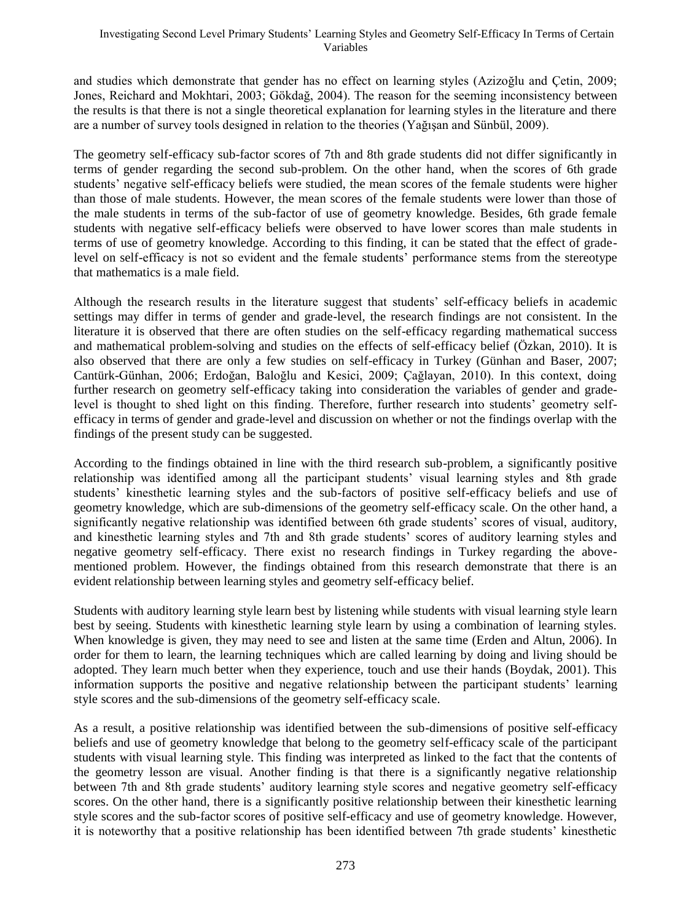and studies which demonstrate that gender has no effect on learning styles (Azizoğlu and Çetin, 2009; Jones, Reichard and Mokhtari, 2003; Gökdağ, 2004). The reason for the seeming inconsistency between the results is that there is not a single theoretical explanation for learning styles in the literature and there are a number of survey tools designed in relation to the theories (Yağışan and Sünbül, 2009).

The geometry self-efficacy sub-factor scores of 7th and 8th grade students did not differ significantly in terms of gender regarding the second sub-problem. On the other hand, when the scores of 6th grade students" negative self-efficacy beliefs were studied, the mean scores of the female students were higher than those of male students. However, the mean scores of the female students were lower than those of the male students in terms of the sub-factor of use of geometry knowledge. Besides, 6th grade female students with negative self-efficacy beliefs were observed to have lower scores than male students in terms of use of geometry knowledge. According to this finding, it can be stated that the effect of gradelevel on self-efficacy is not so evident and the female students" performance stems from the stereotype that mathematics is a male field.

Although the research results in the literature suggest that students" self-efficacy beliefs in academic settings may differ in terms of gender and grade-level, the research findings are not consistent. In the literature it is observed that there are often studies on the self-efficacy regarding mathematical success and mathematical problem-solving and studies on the effects of self-efficacy belief (Özkan, 2010). It is also observed that there are only a few studies on self-efficacy in Turkey (Günhan and Baser, 2007; Cantürk-Günhan, 2006; Erdoğan, Baloğlu and Kesici, 2009; Çağlayan, 2010). In this context, doing further research on geometry self-efficacy taking into consideration the variables of gender and gradelevel is thought to shed light on this finding. Therefore, further research into students" geometry selfefficacy in terms of gender and grade-level and discussion on whether or not the findings overlap with the findings of the present study can be suggested.

According to the findings obtained in line with the third research sub-problem, a significantly positive relationship was identified among all the participant students" visual learning styles and 8th grade students" kinesthetic learning styles and the sub-factors of positive self-efficacy beliefs and use of geometry knowledge, which are sub-dimensions of the geometry self-efficacy scale. On the other hand, a significantly negative relationship was identified between 6th grade students" scores of visual, auditory, and kinesthetic learning styles and 7th and 8th grade students" scores of auditory learning styles and negative geometry self-efficacy. There exist no research findings in Turkey regarding the abovementioned problem. However, the findings obtained from this research demonstrate that there is an evident relationship between learning styles and geometry self-efficacy belief.

Students with auditory learning style learn best by listening while students with visual learning style learn best by seeing. Students with kinesthetic learning style learn by using a combination of learning styles. When knowledge is given, they may need to see and listen at the same time (Erden and Altun, 2006). In order for them to learn, the learning techniques which are called learning by doing and living should be adopted. They learn much better when they experience, touch and use their hands (Boydak, 2001). This information supports the positive and negative relationship between the participant students" learning style scores and the sub-dimensions of the geometry self-efficacy scale.

As a result, a positive relationship was identified between the sub-dimensions of positive self-efficacy beliefs and use of geometry knowledge that belong to the geometry self-efficacy scale of the participant students with visual learning style. This finding was interpreted as linked to the fact that the contents of the geometry lesson are visual. Another finding is that there is a significantly negative relationship between 7th and 8th grade students" auditory learning style scores and negative geometry self-efficacy scores. On the other hand, there is a significantly positive relationship between their kinesthetic learning style scores and the sub-factor scores of positive self-efficacy and use of geometry knowledge. However, it is noteworthy that a positive relationship has been identified between 7th grade students" kinesthetic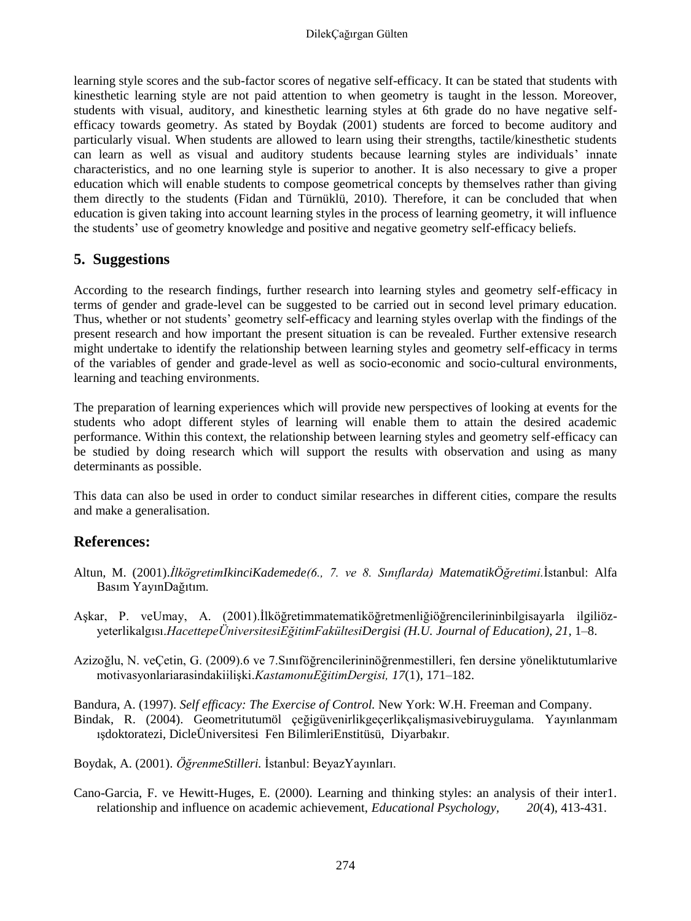learning style scores and the sub-factor scores of negative self-efficacy. It can be stated that students with kinesthetic learning style are not paid attention to when geometry is taught in the lesson. Moreover, students with visual, auditory, and kinesthetic learning styles at 6th grade do no have negative selfefficacy towards geometry. As stated by Boydak (2001) students are forced to become auditory and particularly visual. When students are allowed to learn using their strengths, tactile/kinesthetic students can learn as well as visual and auditory students because learning styles are individuals" innate characteristics, and no one learning style is superior to another. It is also necessary to give a proper education which will enable students to compose geometrical concepts by themselves rather than giving them directly to the students (Fidan and Türnüklü, 2010). Therefore, it can be concluded that when education is given taking into account learning styles in the process of learning geometry, it will influence the students" use of geometry knowledge and positive and negative geometry self-efficacy beliefs.

### **5. Suggestions**

According to the research findings, further research into learning styles and geometry self-efficacy in terms of gender and grade-level can be suggested to be carried out in second level primary education. Thus, whether or not students" geometry self-efficacy and learning styles overlap with the findings of the present research and how important the present situation is can be revealed. Further extensive research might undertake to identify the relationship between learning styles and geometry self-efficacy in terms of the variables of gender and grade-level as well as socio-economic and socio-cultural environments, learning and teaching environments.

The preparation of learning experiences which will provide new perspectives of looking at events for the students who adopt different styles of learning will enable them to attain the desired academic performance. Within this context, the relationship between learning styles and geometry self-efficacy can be studied by doing research which will support the results with observation and using as many determinants as possible.

This data can also be used in order to conduct similar researches in different cities, compare the results and make a generalisation.

### **References:**

- Altun, M. (2001).*İlkögretimIkinciKademede(6., 7. ve 8. Sınıflarda) MatematikÖğretimi.*İstanbul: Alfa Basım YayınDağıtım.
- Aşkar, P. veUmay, A. (2001).İlköğretimmatematiköğretmenliğiöğrencilerininbilgisayarla ilgiliözyeterlikalgısı.*HacettepeÜniversitesiEğitimFakültesiDergisi (H.U. Journal of Education)*, *21*, 1–8.
- Azizoğlu, N. veÇetin, G. (2009).6 ve 7.Sınıföğrencilerininöğrenmestilleri, fen dersine yöneliktutumlarive motivasyonlariarasindakiilişki.*KastamonuEğitimDergisi, 17*(1), 171–182.

Bandura, A. (1997). *Self efficacy: The Exercise of Control.* New York: W.H. Freeman and Company. Bindak, R. (2004). Geometritutumöl çeğigüvenirlikgeçerlikçalişmasivebiruygulama. Yayınlanmam ışdoktoratezi, DicleÜniversitesi Fen BilimleriEnstitüsü, Diyarbakır.

Boydak, A. (2001). *ÖğrenmeStilleri.* İstanbul: BeyazYayınları.

Cano-Garcia, F. ve Hewitt-Huges, E. (2000). Learning and thinking styles: an analysis of their inter1. relationship and influence on academic achievement, *Educational Psychology, 20*(4), 413-431.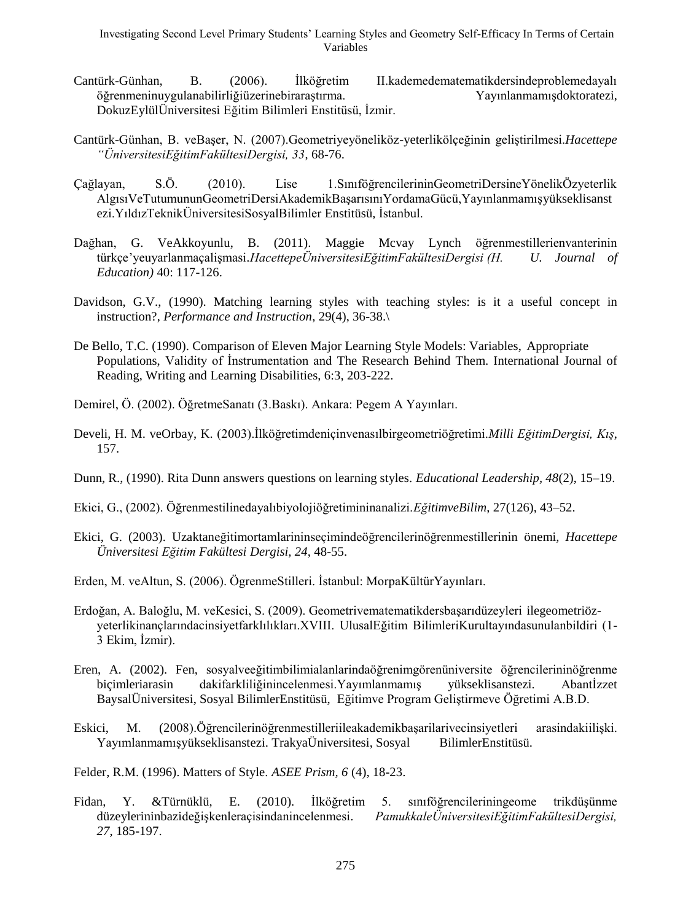Investigating Second Level Primary Students" Learning Styles and Geometry Self-Efficacy In Terms of Certain Variables

- Cantürk-Günhan, B. (2006). İlköğretim II.kademedematematikdersindeproblemedayalı öğrenmeninuygulanabilirliğiüzerinebiraraştırma. Yayınlanmamışdoktoratezi, DokuzEylülÜniversitesi Eğitim Bilimleri Enstitüsü, İzmir.
- Cantürk-Günhan, B. veBaşer, N. (2007).Geometriyeyöneliköz-yeterlikölçeğinin geliştirilmesi.*Hacettepe "ÜniversitesiEğitimFakültesiDergisi, 33*, 68-76.
- Çağlayan, S.Ö. (2010). Lise 1.SınıföğrencilerininGeometriDersineYönelikÖzyeterlik AlgısıVeTutumununGeometriDersiAkademikBaşarısınıYordamaGücü,Yayınlanmamışyükseklisanst ezi.YıldızTeknikÜniversitesiSosyalBilimler Enstitüsü, İstanbul.
- Dağhan, G. VeAkkoyunlu, B. (2011). Maggie Mcvay Lynch öğrenmestillerienvanterinin türkçe"yeuyarlanmaçalişmasi.*HacettepeÜniversitesiEğitimFakültesiDergisi (H. U. Journal of Education)* 40: 117-126.
- Davidson, G.V., (1990). Matching learning styles with teaching styles: is it a useful concept in instruction?, *Performance and Instruction*, 29(4), 36-38.\
- De Bello, T.C. (1990). Comparison of Eleven Major Learning Style Models: Variables, Appropriate Populations, Validity of İnstrumentation and The Research Behind Them. International Journal of Reading, Writing and Learning Disabilities, 6:3, 203-222.
- Demirel, Ö. (2002). ÖğretmeSanatı (3.Baskı). Ankara: Pegem A Yayınları.
- Develi, H. M. veOrbay, K. (2003).İlköğretimdeniçinvenasılbirgeometriöğretimi.*Milli EğitimDergisi, Kış*, 157.
- Dunn, R., (1990). Rita Dunn answers questions on learning styles. *Educational Leadership, 48*(2), 15–19.
- Ekici, G., (2002). Öğrenmestilinedayalıbiyolojiöğretimininanalizi.*EğitimveBilim*, 27(126), 43–52.
- Ekici, G. (2003). Uzaktaneğitimortamlarininseçimindeöğrencilerinöğrenmestillerinin önemi, *Hacettepe Üniversitesi Eğitim Fakültesi Dergisi, 24*, 48-55.
- Erden, M. veAltun, S. (2006). ÖgrenmeStilleri. İstanbul: MorpaKültürYayınları.
- Erdoğan, A. Baloğlu, M. veKesici, S. (2009). Geometrivematematikdersbaşarıdüzeyleri ilegeometriözyeterlikinançlarındacinsiyetfarklılıkları.XVIII. UlusalEğitim BilimleriKurultayındasunulanbildiri (1- 3 Ekim, İzmir).
- Eren, A. (2002). Fen, sosyalveeğitimbilimialanlarindaöğrenimgörenüniversite öğrencilerininöğrenme biçimleriarasin dakifarkliliğinincelenmesi.Yayımlanmamış yükseklisanstezi. Abantİzzet BaysalÜniversitesi, Sosyal BilimlerEnstitüsü, Eğitimve Program Geliştirmeve Öğretimi A.B.D.
- Eskici, M. (2008).Öğrencilerinöğrenmestilleriileakademikbaşarilarivecinsiyetleri arasindakiilişki. Yayımlanmamışyükseklisanstezi. TrakyaÜniversitesi, Sosyal BilimlerEnstitüsü.

Felder, R.M. (1996). Matters of Style*. ASEE Prism, 6* (4), 18-23.

Fidan, Y. &Türnüklü, E. (2010). İlköğretim 5. sınıföğrencileriningeome trikdüşünme düzeylerininbazideğişkenleraçisindanincelenmesi. *PamukkaleÜniversitesiEğitimFakültesiDergisi, 27*, 185-197.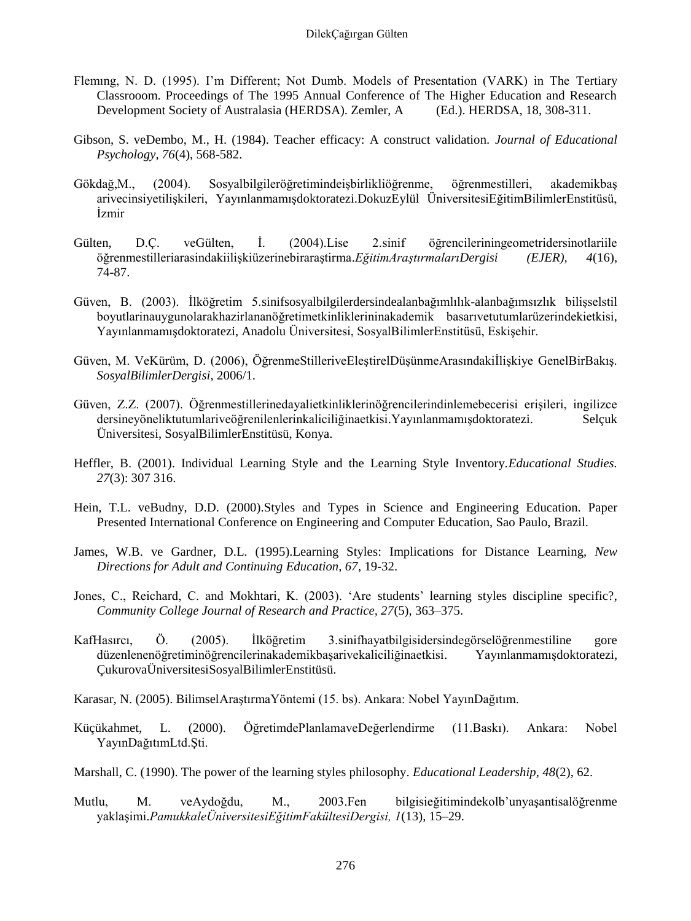- Flemıng, N. D. (1995). I"m Different; Not Dumb. Models of Presentation (VARK) in The Tertiary Classrooom. Proceedings of The 1995 Annual Conference of The Higher Education and Research Development Society of Australasia (HERDSA). Zemler, A (Ed.). HERDSA, 18, 308-311.
- Gibson, S. veDembo, M., H. (1984). Teacher efficacy: A construct validation. *Journal of Educational Psychology, 76*(4), 568-582.
- Gökdağ,M., (2004). Sosyalbilgileröğretimindeişbirlikliöğrenme, öğrenmestilleri, akademikbaş arivecinsiyetilişkileri, Yayınlanmamışdoktoratezi.DokuzEylül ÜniversitesiEğitimBilimlerEnstitüsü, İzmir
- Gülten, D.Ç. veGülten, İ. (2004).Lise 2.sinif öğrencileriningeometridersinotlariile öğrenmestilleriarasindakiilişkiüzerinebiraraştirma.*EğitimAraştırmalarıDergisi (EJER), 4*(16), 74-87.
- Güven, B. (2003). İlköğretim 5.sinifsosyalbilgilerdersindealanbağımlılık-alanbağımsızlık bilişselstil boyutlarinauygunolarakhazirlananöğretimetkinliklerininakademik basarıvetutumlarüzerindekietkisi, Yayınlanmamışdoktoratezi, Anadolu Üniversitesi, SosyalBilimlerEnstitüsü, Eskişehir.
- Güven, M. VeKürüm, D. (2006), ÖğrenmeStilleriveEleştirelDüşünmeArasındakiİlişkiye GenelBirBakış. *SosyalBilimlerDergisi*, 2006/1.
- Güven, Z.Z. (2007). Öğrenmestillerinedayalietkinliklerinöğrencilerindinlemebecerisi erişileri, ingilizce dersineyöneliktutumlariveöğrenilenlerinkaliciliğinaetkisi.Yayınlanmamışdoktoratezi. Selçuk Üniversitesi, SosyalBilimlerEnstitüsü, Konya.
- Heffler, B. (2001). Individual Learning Style and the Learning Style Inventory.*Educational Studies. 27*(3): 307 316.
- Hein, T.L. veBudny, D.D. (2000).Styles and Types in Science and Engineering Education. Paper Presented International Conference on Engineering and Computer Education, Sao Paulo, Brazil.
- James, W.B. ve Gardner, D.L. (1995).Learning Styles: Implications for Distance Learning, *New Directions for Adult and Continuing Education, 67*, 19-32.
- Jones, C., Reichard, C. and Mokhtari, K. (2003). "Are students" learning styles discipline specific?, *Community College Journal of Research and Practice, 27*(5), 363–375.
- KafHasırcı, Ö. (2005). İlköğretim 3.sinifhayatbilgisidersindegörselöğrenmestiline gore düzenlenenöğretiminöğrencilerinakademikbaşarivekaliciliğinaetkisi. Yayınlanmamışdoktoratezi, ÇukurovaÜniversitesiSosyalBilimlerEnstitüsü.
- Karasar, N. (2005). BilimselAraştırmaYöntemi (15. bs). Ankara: Nobel YayınDağıtım.
- Küçükahmet, L. (2000). ÖğretimdePlanlamaveDeğerlendirme (11.Baskı). Ankara: Nobel YayınDağıtımLtd.Şti.
- Marshall, C. (1990). The power of the learning styles philosophy. *Educational Leadership, 48*(2), 62.
- Mutlu, M. veAydoğdu, M., 2003.Fen bilgisieğitimindekolb"unyaşantisalöğrenme yaklaşimi.*PamukkaleÜniversitesiEğitimFakültesiDergisi, 1*(13), 15–29.